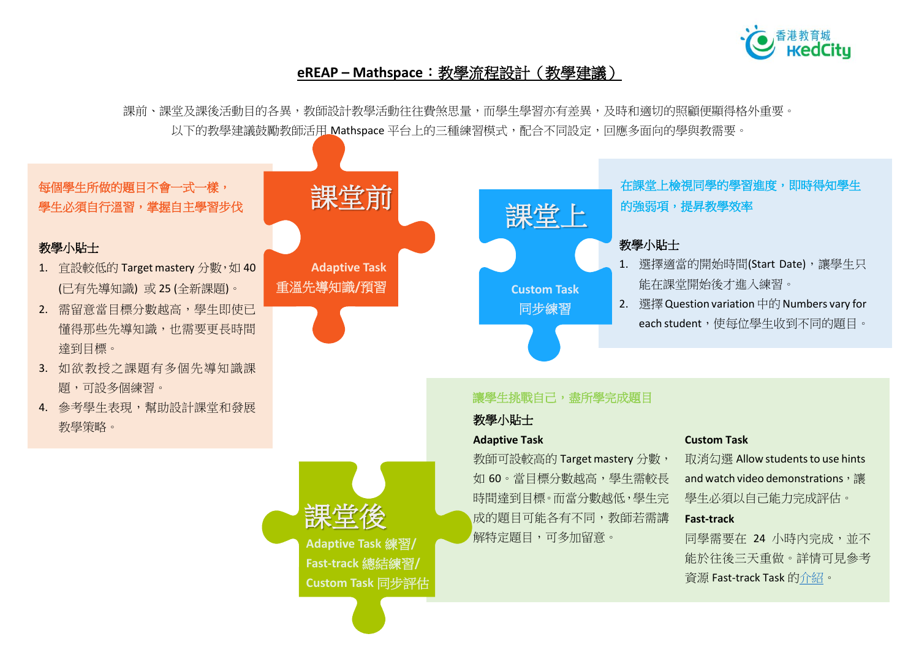

## **eREAP – Mathspace**:教學流程設計(教學建議)

課前、課堂及課後活動目的各異,教師設計教學活動往往費煞思量,而學生學習亦有差異,及時和適切的照顧便顯得格外重要。 以下的教學建議鼓勵教師活用 Mathspace 平台上的三種練習模式,配合不同設定,回應多面向的學與教需要。